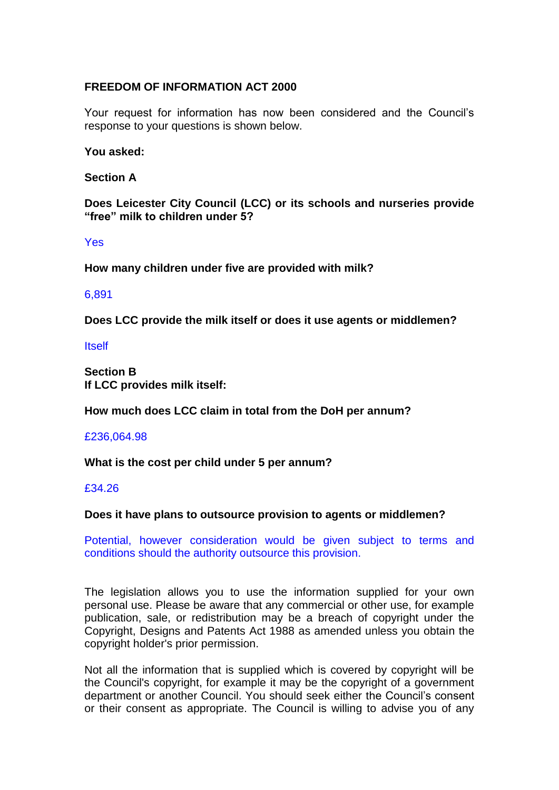# **FREEDOM OF INFORMATION ACT 2000**

Your request for information has now been considered and the Council's response to your questions is shown below.

## **You asked:**

## **Section A**

**Does Leicester City Council (LCC) or its schools and nurseries provide "free" milk to children under 5?** 

Yes

**How many children under five are provided with milk?** 

## 6,891

**Does LCC provide the milk itself or does it use agents or middlemen?** 

Itself

**Section B If LCC provides milk itself:** 

**How much does LCC claim in total from the DoH per annum?** 

#### £236,064.98

## **What is the cost per child under 5 per annum?**

## £34.26

## **Does it have plans to outsource provision to agents or middlemen?**

Potential, however consideration would be given subject to terms and conditions should the authority outsource this provision.

The legislation allows you to use the information supplied for your own personal use. Please be aware that any commercial or other use, for example publication, sale, or redistribution may be a breach of copyright under the Copyright, Designs and Patents Act 1988 as amended unless you obtain the copyright holder's prior permission.

Not all the information that is supplied which is covered by copyright will be the Council's copyright, for example it may be the copyright of a government department or another Council. You should seek either the Council's consent or their consent as appropriate. The Council is willing to advise you of any